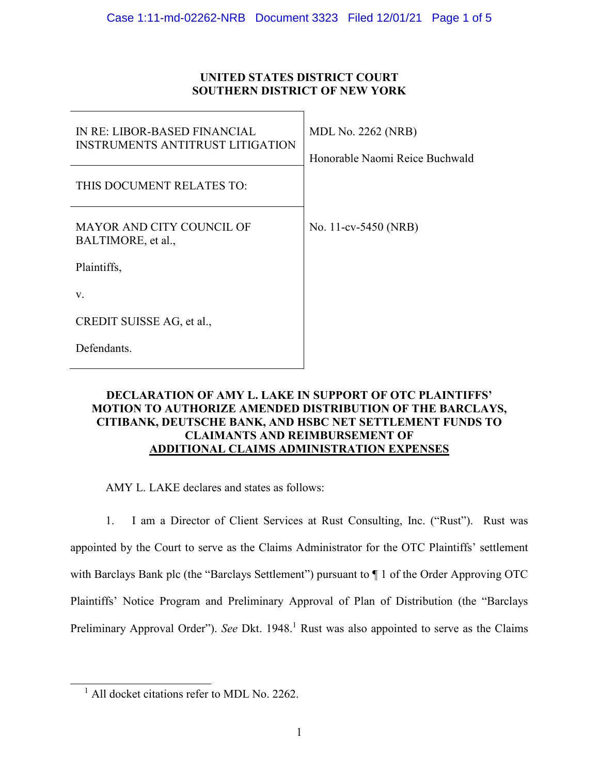# **UNITED STATES DISTRICT COURT SOUTHERN DISTRICT OF NEW YORK**

| IN RE: LIBOR-BASED FINANCIAL<br><b>INSTRUMENTS ANTITRUST LITIGATION</b> | <b>MDL No. 2262 (NRB)</b><br>Honorable Naomi Reice Buchwald |
|-------------------------------------------------------------------------|-------------------------------------------------------------|
| THIS DOCUMENT RELATES TO:                                               |                                                             |
| MAYOR AND CITY COUNCIL OF<br>BALTIMORE, et al.,                         | No. 11-cv-5450 (NRB)                                        |
| Plaintiffs,                                                             |                                                             |
| V.                                                                      |                                                             |
| CREDIT SUISSE AG, et al.,                                               |                                                             |
| Defendants.                                                             |                                                             |

# **DECLARATION OF AMY L. LAKE IN SUPPORT OF OTC PLAINTIFFS' MOTION TO AUTHORIZE AMENDED DISTRIBUTION OF THE BARCLAYS, CITIBANK, DEUTSCHE BANK, AND HSBC NET SETTLEMENT FUNDS TO CLAIMANTS AND REIMBURSEMENT OF ADDITIONAL CLAIMS ADMINISTRATION EXPENSES**

AMY L. LAKE declares and states as follows:

1. I am a Director of Client Services at Rust Consulting, Inc. ("Rust"). Rust was appointed by the Court to serve as the Claims Administrator for the OTC Plaintiffs' settlement with Barclays Bank plc (the "Barclays Settlement") pursuant to  $\P$  1 of the Order Approving OTC Plaintiffs' Notice Program and Preliminary Approval of Plan of Distribution (the "Barclays Preliminary Approval Order"). See Dkt. 1948.<sup>1</sup> Rust was also appointed to serve as the Claims

 $\overline{a}$ 

<sup>&</sup>lt;sup>1</sup> All docket citations refer to MDL No. 2262.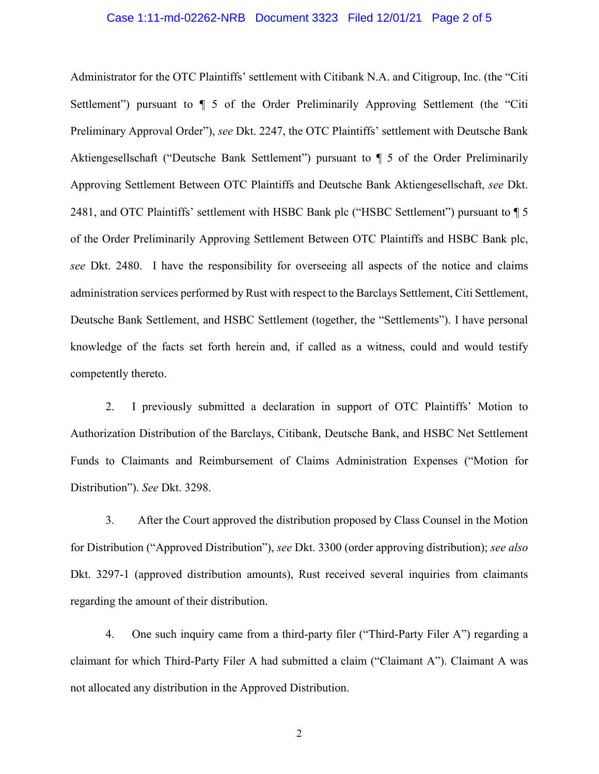### Case 1:11-md-02262-NRB Document 3323 Filed 12/01/21 Page 2 of 5

Administrator for the OTC Plaintiffs' settlement with Citibank N.A. and Citigroup, Inc. (the "Citi Settlement") pursuant to ¶ 5 of the Order Preliminarily Approving Settlement (the "Citi Preliminary Approval Order"), *see* Dkt. 2247, the OTC Plaintiffs' settlement with Deutsche Bank Aktiengesellschaft ("Deutsche Bank Settlement") pursuant to ¶ 5 of the Order Preliminarily Approving Settlement Between OTC Plaintiffs and Deutsche Bank Aktiengesellschaft, *see* Dkt. 2481, and OTC Plaintiffs' settlement with HSBC Bank plc ("HSBC Settlement") pursuant to  $\P$  5 of the Order Preliminarily Approving Settlement Between OTC Plaintiffs and HSBC Bank plc, *see* Dkt. 2480. I have the responsibility for overseeing all aspects of the notice and claims administration services performed by Rust with respect to the Barclays Settlement, Citi Settlement, Deutsche Bank Settlement, and HSBC Settlement (together, the "Settlements"). I have personal knowledge of the facts set forth herein and, if called as a witness, could and would testify competently thereto.

2. I previously submitted a declaration in support of OTC Plaintiffs' Motion to Authorization Distribution of the Barclays, Citibank, Deutsche Bank, and HSBC Net Settlement Funds to Claimants and Reimbursement of Claims Administration Expenses ("Motion for Distribution"). *See* Dkt. 3298.

3. After the Court approved the distribution proposed by Class Counsel in the Motion for Distribution ("Approved Distribution"), *see* Dkt. 3300 (order approving distribution); *see also*  Dkt. 3297-1 (approved distribution amounts), Rust received several inquiries from claimants regarding the amount of their distribution.

4. One such inquiry came from a third-party filer ("Third-Party Filer A") regarding a claimant for which Third-Party Filer A had submitted a claim ("Claimant A"). Claimant A was not allocated any distribution in the Approved Distribution.

2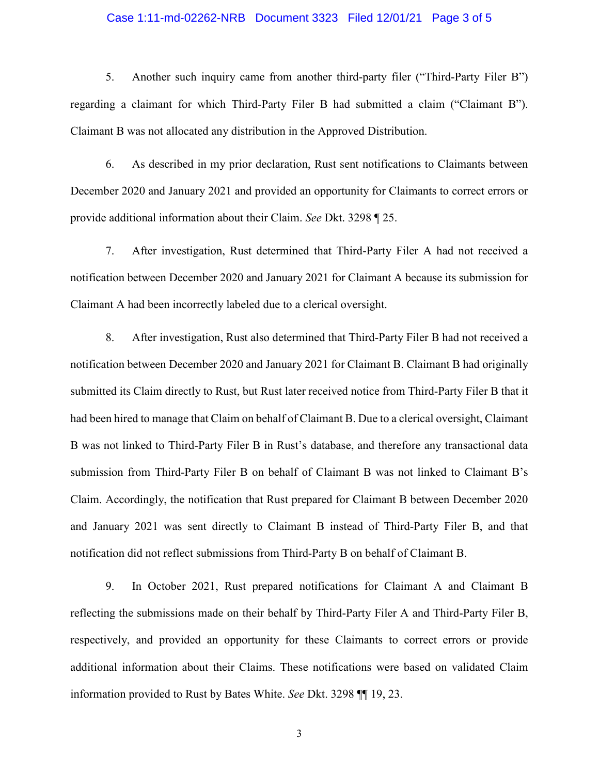### Case 1:11-md-02262-NRB Document 3323 Filed 12/01/21 Page 3 of 5

5. Another such inquiry came from another third-party filer ("Third-Party Filer B") regarding a claimant for which Third-Party Filer B had submitted a claim ("Claimant B"). Claimant B was not allocated any distribution in the Approved Distribution.

6. As described in my prior declaration, Rust sent notifications to Claimants between December 2020 and January 2021 and provided an opportunity for Claimants to correct errors or provide additional information about their Claim. *See* Dkt. 3298 ¶ 25.

7. After investigation, Rust determined that Third-Party Filer A had not received a notification between December 2020 and January 2021 for Claimant A because its submission for Claimant A had been incorrectly labeled due to a clerical oversight.

8. After investigation, Rust also determined that Third-Party Filer B had not received a notification between December 2020 and January 2021 for Claimant B. Claimant B had originally submitted its Claim directly to Rust, but Rust later received notice from Third-Party Filer B that it had been hired to manage that Claim on behalf of Claimant B. Due to a clerical oversight, Claimant B was not linked to Third-Party Filer B in Rust's database, and therefore any transactional data submission from Third-Party Filer B on behalf of Claimant B was not linked to Claimant B's Claim. Accordingly, the notification that Rust prepared for Claimant B between December 2020 and January 2021 was sent directly to Claimant B instead of Third-Party Filer B, and that notification did not reflect submissions from Third-Party B on behalf of Claimant B.

9. In October 2021, Rust prepared notifications for Claimant A and Claimant B reflecting the submissions made on their behalf by Third-Party Filer A and Third-Party Filer B, respectively, and provided an opportunity for these Claimants to correct errors or provide additional information about their Claims. These notifications were based on validated Claim information provided to Rust by Bates White. *See* Dkt. 3298 ¶¶ 19, 23.

3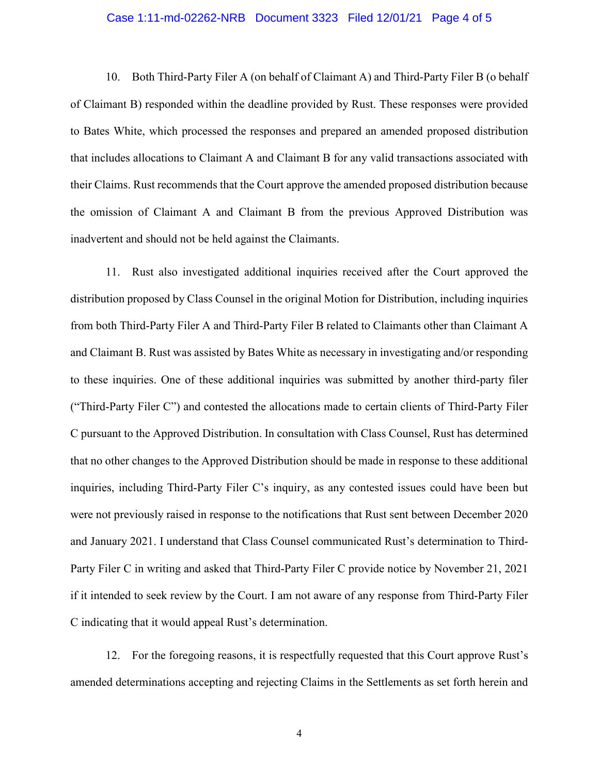#### Case 1:11-md-02262-NRB Document 3323 Filed 12/01/21 Page 4 of 5

10. Both Third-Party Filer A (on behalf of Claimant A) and Third-Party Filer B (o behalf of Claimant B) responded within the deadline provided by Rust. These responses were provided to Bates White, which processed the responses and prepared an amended proposed distribution that includes allocations to Claimant A and Claimant B for any valid transactions associated with their Claims. Rust recommends that the Court approve the amended proposed distribution because the omission of Claimant A and Claimant B from the previous Approved Distribution was inadvertent and should not be held against the Claimants.

11. Rust also investigated additional inquiries received after the Court approved the distribution proposed by Class Counsel in the original Motion for Distribution, including inquiries from both Third-Party Filer A and Third-Party Filer B related to Claimants other than Claimant A and Claimant B. Rust was assisted by Bates White as necessary in investigating and/or responding to these inquiries. One of these additional inquiries was submitted by another third-party filer ("Third-Party Filer C") and contested the allocations made to certain clients of Third-Party Filer C pursuant to the Approved Distribution. In consultation with Class Counsel, Rust has determined that no other changes to the Approved Distribution should be made in response to these additional inquiries, including Third-Party Filer C's inquiry, as any contested issues could have been but were not previously raised in response to the notifications that Rust sent between December 2020 and January 2021. I understand that Class Counsel communicated Rust's determination to Third-Party Filer C in writing and asked that Third-Party Filer C provide notice by November 21, 2021 if it intended to seek review by the Court. I am not aware of any response from Third-Party Filer C indicating that it would appeal Rust's determination.

12. For the foregoing reasons, it is respectfully requested that this Court approve Rust's amended determinations accepting and rejecting Claims in the Settlements as set forth herein and

4